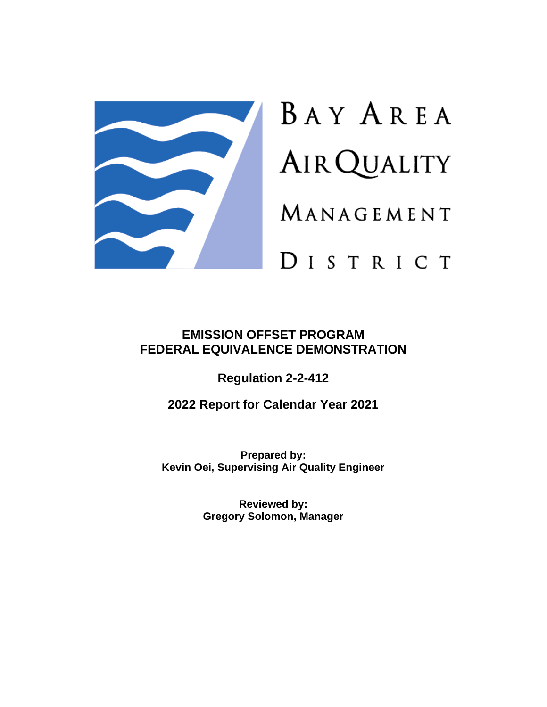

# BAY AREA **AIR QUALITY** MANAGEMENT

# DISTRICT

## **EMISSION OFFSET PROGRAM FEDERAL EQUIVALENCE DEMONSTRATION**

**Regulation 2-2-412**

**2022 Report for Calendar Year 2021**

**Prepared by: Kevin Oei, Supervising Air Quality Engineer**

> **Reviewed by: Gregory Solomon, Manager**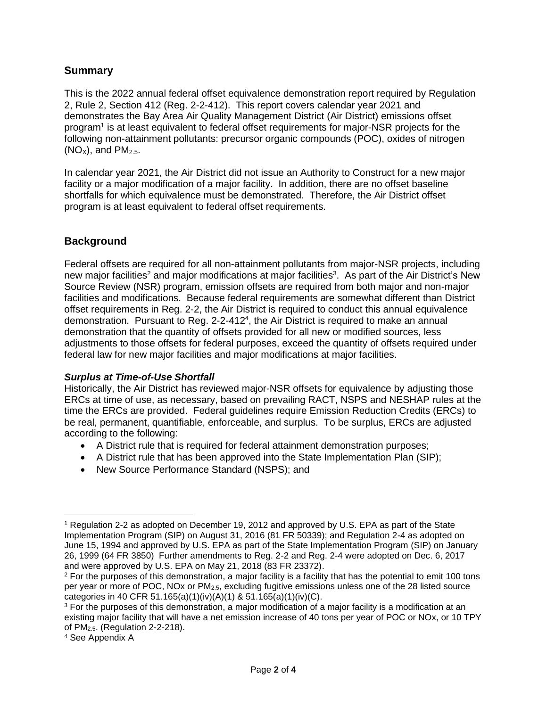#### **Summary**

This is the 2022 annual federal offset equivalence demonstration report required by Regulation 2, Rule 2, Section 412 (Reg. 2-2-412). This report covers calendar year 2021 and demonstrates the Bay Area Air Quality Management District (Air District) emissions offset program<sup>1</sup> is at least equivalent to federal offset requirements for major-NSR projects for the following non-attainment pollutants: precursor organic compounds (POC), oxides of nitrogen  $(NO<sub>x</sub>)$ , and  $PM<sub>2.5</sub>$ .

In calendar year 2021, the Air District did not issue an Authority to Construct for a new major facility or a major modification of a major facility. In addition, there are no offset baseline shortfalls for which equivalence must be demonstrated. Therefore, the Air District offset program is at least equivalent to federal offset requirements.

#### **Background**

Federal offsets are required for all non-attainment pollutants from major-NSR projects, including new major facilities<sup>2</sup> and major modifications at major facilities<sup>3</sup>. As part of the Air District's New Source Review (NSR) program, emission offsets are required from both major and non-major facilities and modifications. Because federal requirements are somewhat different than District offset requirements in Reg. 2-2, the Air District is required to conduct this annual equivalence demonstration. Pursuant to Reg. 2-2-412<sup>4</sup>, the Air District is required to make an annual demonstration that the quantity of offsets provided for all new or modified sources, less adjustments to those offsets for federal purposes, exceed the quantity of offsets required under federal law for new major facilities and major modifications at major facilities.

#### *Surplus at Time-of-Use Shortfall*

Historically, the Air District has reviewed major-NSR offsets for equivalence by adjusting those ERCs at time of use, as necessary, based on prevailing RACT, NSPS and NESHAP rules at the time the ERCs are provided. Federal guidelines require Emission Reduction Credits (ERCs) to be real, permanent, quantifiable, enforceable, and surplus. To be surplus, ERCs are adjusted according to the following:

- A District rule that is required for federal attainment demonstration purposes;
- A District rule that has been approved into the State Implementation Plan (SIP);
- New Source Performance Standard (NSPS); and

<sup>1</sup> Regulation 2-2 as adopted on December 19, 2012 and approved by U.S. EPA as part of the State Implementation Program (SIP) on August 31, 2016 (81 FR 50339); and Regulation 2-4 as adopted on June 15, 1994 and approved by U.S. EPA as part of the State Implementation Program (SIP) on January 26, 1999 (64 FR 3850) Further amendments to Reg. 2-2 and Reg. 2-4 were adopted on Dec. 6, 2017 and were approved by U.S. EPA on May 21, 2018 (83 FR 23372).

 $2$  For the purposes of this demonstration, a major facility is a facility that has the potential to emit 100 tons per year or more of POC, NOx or PM2.5, excluding fugitive emissions unless one of the 28 listed source categories in 40 CFR 51.165(a)(1)(iv)(A)(1) & 51.165(a)(1)(iv)(C).

<sup>&</sup>lt;sup>3</sup> For the purposes of this demonstration, a major modification of a major facility is a modification at an existing major facility that will have a net emission increase of 40 tons per year of POC or NOx, or 10 TPY of PM2.5. (Regulation 2-2-218).

<sup>4</sup> See Appendix A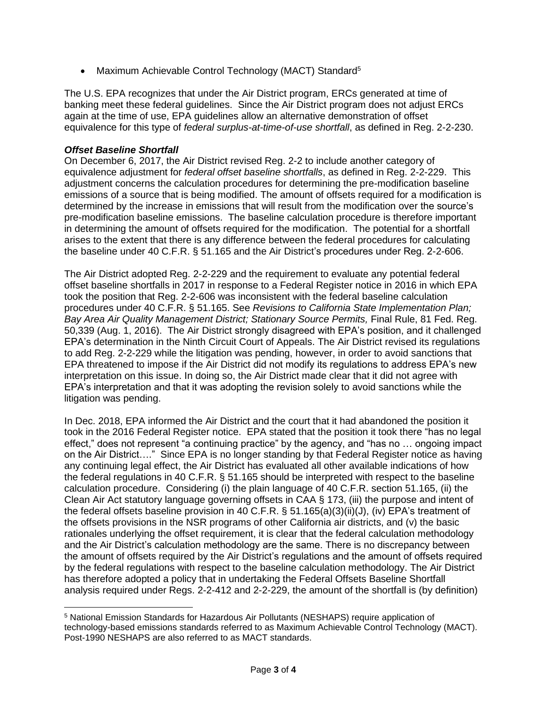• Maximum Achievable Control Technology (MACT) Standard<sup>5</sup>

The U.S. EPA recognizes that under the Air District program, ERCs generated at time of banking meet these federal guidelines. Since the Air District program does not adjust ERCs again at the time of use, EPA guidelines allow an alternative demonstration of offset equivalence for this type of *federal surplus-at-time-of-use shortfall*, as defined in Reg. 2-2-230.

#### *Offset Baseline Shortfall*

On December 6, 2017, the Air District revised Reg. 2-2 to include another category of equivalence adjustment for *federal offset baseline shortfalls*, as defined in Reg. 2-2-229. This adjustment concerns the calculation procedures for determining the pre-modification baseline emissions of a source that is being modified. The amount of offsets required for a modification is determined by the increase in emissions that will result from the modification over the source's pre-modification baseline emissions. The baseline calculation procedure is therefore important in determining the amount of offsets required for the modification. The potential for a shortfall arises to the extent that there is any difference between the federal procedures for calculating the baseline under 40 C.F.R. § 51.165 and the Air District's procedures under Reg. 2-2-606.

The Air District adopted Reg. 2-2-229 and the requirement to evaluate any potential federal offset baseline shortfalls in 2017 in response to a Federal Register notice in 2016 in which EPA took the position that Reg. 2-2-606 was inconsistent with the federal baseline calculation procedures under 40 C.F.R. § 51.165. See *Revisions to California State Implementation Plan; Bay Area Air Quality Management District; Stationary Source Permits,* Final Rule, 81 Fed. Reg. 50,339 (Aug. 1, 2016). The Air District strongly disagreed with EPA's position, and it challenged EPA's determination in the Ninth Circuit Court of Appeals. The Air District revised its regulations to add Reg. 2-2-229 while the litigation was pending, however, in order to avoid sanctions that EPA threatened to impose if the Air District did not modify its regulations to address EPA's new interpretation on this issue. In doing so, the Air District made clear that it did not agree with EPA's interpretation and that it was adopting the revision solely to avoid sanctions while the litigation was pending.

In Dec. 2018, EPA informed the Air District and the court that it had abandoned the position it took in the 2016 Federal Register notice. EPA stated that the position it took there "has no legal effect," does not represent "a continuing practice" by the agency, and "has no … ongoing impact on the Air District…." Since EPA is no longer standing by that Federal Register notice as having any continuing legal effect, the Air District has evaluated all other available indications of how the federal regulations in 40 C.F.R. § 51.165 should be interpreted with respect to the baseline calculation procedure. Considering (i) the plain language of 40 C.F.R. section 51.165, (ii) the Clean Air Act statutory language governing offsets in CAA § 173, (iii) the purpose and intent of the federal offsets baseline provision in 40 C.F.R. § 51.165(a)(3)(ii)(J), (iv) EPA's treatment of the offsets provisions in the NSR programs of other California air districts, and (v) the basic rationales underlying the offset requirement, it is clear that the federal calculation methodology and the Air District's calculation methodology are the same. There is no discrepancy between the amount of offsets required by the Air District's regulations and the amount of offsets required by the federal regulations with respect to the baseline calculation methodology. The Air District has therefore adopted a policy that in undertaking the Federal Offsets Baseline Shortfall analysis required under Regs. 2-2-412 and 2-2-229, the amount of the shortfall is (by definition)

<sup>5</sup> National Emission Standards for Hazardous Air Pollutants (NESHAPS) require application of technology-based emissions standards referred to as Maximum Achievable Control Technology (MACT). Post-1990 NESHAPS are also referred to as MACT standards.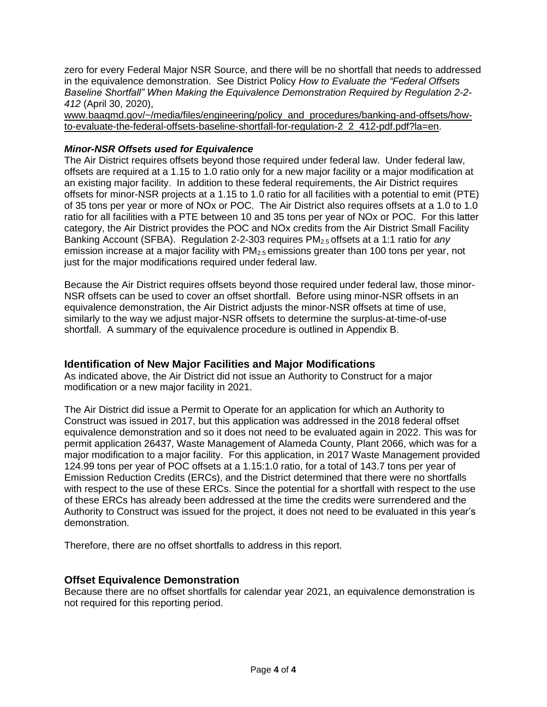zero for every Federal Major NSR Source, and there will be no shortfall that needs to addressed in the equivalence demonstration. See District Policy *How to Evaluate the "Federal Offsets Baseline Shortfall" When Making the Equivalence Demonstration Required by Regulation 2-2- 412* (April 30, 2020),

[www.baaqmd.gov/~/media/files/engineering/policy\\_and\\_procedures/banking-and-offsets/how](http://www.baaqmd.gov/~/media/files/engineering/policy_and_procedures/banking-and-offsets/how-to-evaluate-the-federal-offsets-baseline-shortfall-for-regulation-2_2_412-pdf.pdf?la=en)[to-evaluate-the-federal-offsets-baseline-shortfall-for-regulation-2\\_2\\_412-pdf.pdf?la=en.](http://www.baaqmd.gov/~/media/files/engineering/policy_and_procedures/banking-and-offsets/how-to-evaluate-the-federal-offsets-baseline-shortfall-for-regulation-2_2_412-pdf.pdf?la=en)

#### *Minor-NSR Offsets used for Equivalence*

The Air District requires offsets beyond those required under federal law. Under federal law, offsets are required at a 1.15 to 1.0 ratio only for a new major facility or a major modification at an existing major facility. In addition to these federal requirements, the Air District requires offsets for minor-NSR projects at a 1.15 to 1.0 ratio for all facilities with a potential to emit (PTE) of 35 tons per year or more of NOx or POC. The Air District also requires offsets at a 1.0 to 1.0 ratio for all facilities with a PTE between 10 and 35 tons per year of NOx or POC. For this latter category, the Air District provides the POC and NOx credits from the Air District Small Facility Banking Account (SFBA). Regulation 2-2-303 requires PM2.5 offsets at a 1:1 ratio for *any* emission increase at a major facility with  $PM<sub>2.5</sub>$  emissions greater than 100 tons per year, not just for the major modifications required under federal law.

Because the Air District requires offsets beyond those required under federal law, those minor-NSR offsets can be used to cover an offset shortfall. Before using minor-NSR offsets in an equivalence demonstration, the Air District adjusts the minor-NSR offsets at time of use, similarly to the way we adjust major-NSR offsets to determine the surplus-at-time-of-use shortfall. A summary of the equivalence procedure is outlined in Appendix B.

#### **Identification of New Major Facilities and Major Modifications**

As indicated above, the Air District did not issue an Authority to Construct for a major modification or a new major facility in 2021.

The Air District did issue a Permit to Operate for an application for which an Authority to Construct was issued in 2017, but this application was addressed in the 2018 federal offset equivalence demonstration and so it does not need to be evaluated again in 2022. This was for permit application 26437, Waste Management of Alameda County, Plant 2066, which was for a major modification to a major facility. For this application, in 2017 Waste Management provided 124.99 tons per year of POC offsets at a 1.15:1.0 ratio, for a total of 143.7 tons per year of Emission Reduction Credits (ERCs), and the District determined that there were no shortfalls with respect to the use of these ERCs. Since the potential for a shortfall with respect to the use of these ERCs has already been addressed at the time the credits were surrendered and the Authority to Construct was issued for the project, it does not need to be evaluated in this year's demonstration.

Therefore, there are no offset shortfalls to address in this report.

#### **Offset Equivalence Demonstration**

Because there are no offset shortfalls for calendar year 2021, an equivalence demonstration is not required for this reporting period.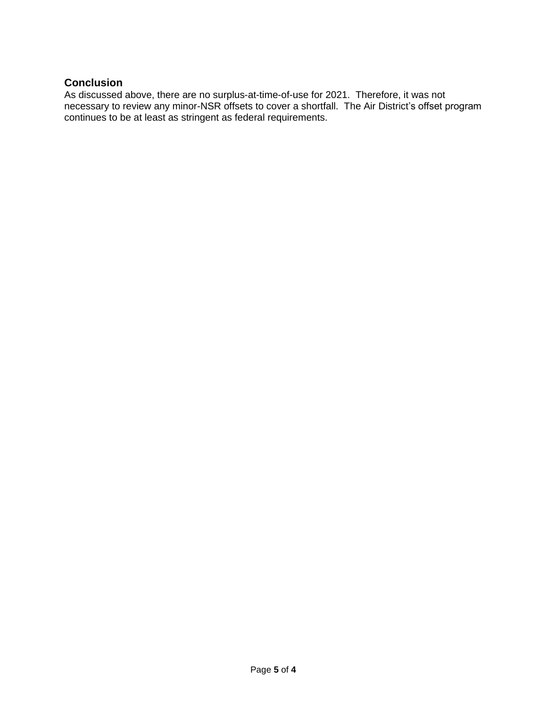#### **Conclusion**

As discussed above, there are no surplus-at-time-of-use for 2021. Therefore, it was not necessary to review any minor-NSR offsets to cover a shortfall. The Air District's offset program continues to be at least as stringent as federal requirements.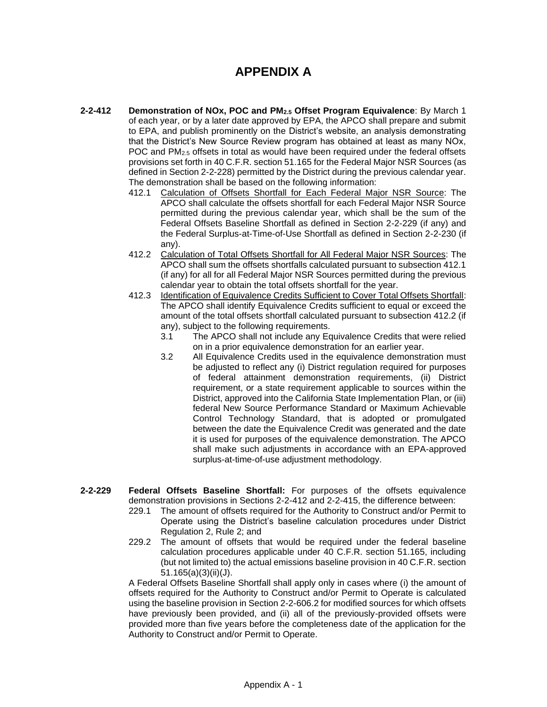## **APPENDIX A**

- **2-2-412 Demonstration of NOx, POC and PM2.5 Offset Program Equivalence**: By March 1 of each year, or by a later date approved by EPA, the APCO shall prepare and submit to EPA, and publish prominently on the District's website, an analysis demonstrating that the District's New Source Review program has obtained at least as many NOx, POC and PM<sub>2.5</sub> offsets in total as would have been required under the federal offsets provisions set forth in 40 C.F.R. section 51.165 for the Federal Major NSR Sources (as defined in Section 2-2-228) permitted by the District during the previous calendar year. The demonstration shall be based on the following information:
	- 412.1 Calculation of Offsets Shortfall for Each Federal Major NSR Source: The APCO shall calculate the offsets shortfall for each Federal Major NSR Source permitted during the previous calendar year, which shall be the sum of the Federal Offsets Baseline Shortfall as defined in Section 2-2-229 (if any) and the Federal Surplus-at-Time-of-Use Shortfall as defined in Section 2-2-230 (if any).
	- 412.2 Calculation of Total Offsets Shortfall for All Federal Major NSR Sources: The APCO shall sum the offsets shortfalls calculated pursuant to subsection 412.1 (if any) for all for all Federal Major NSR Sources permitted during the previous calendar year to obtain the total offsets shortfall for the year.
	- 412.3 Identification of Equivalence Credits Sufficient to Cover Total Offsets Shortfall: The APCO shall identify Equivalence Credits sufficient to equal or exceed the amount of the total offsets shortfall calculated pursuant to subsection 412.2 (if any), subject to the following requirements.
		- 3.1 The APCO shall not include any Equivalence Credits that were relied on in a prior equivalence demonstration for an earlier year.
		- 3.2 All Equivalence Credits used in the equivalence demonstration must be adjusted to reflect any (i) District regulation required for purposes of federal attainment demonstration requirements, (ii) District requirement, or a state requirement applicable to sources within the District, approved into the California State Implementation Plan, or (iii) federal New Source Performance Standard or Maximum Achievable Control Technology Standard, that is adopted or promulgated between the date the Equivalence Credit was generated and the date it is used for purposes of the equivalence demonstration. The APCO shall make such adjustments in accordance with an EPA-approved surplus-at-time-of-use adjustment methodology.
- **2-2-229 Federal Offsets Baseline Shortfall:** For purposes of the offsets equivalence demonstration provisions in Sections 2-2-412 and 2-2-415, the difference between:
	- 229.1 The amount of offsets required for the Authority to Construct and/or Permit to Operate using the District's baseline calculation procedures under District Regulation 2, Rule 2; and
	- 229.2 The amount of offsets that would be required under the federal baseline calculation procedures applicable under 40 C.F.R. section 51.165, including (but not limited to) the actual emissions baseline provision in 40 C.F.R. section 51.165(a)(3)(ii)(J).

A Federal Offsets Baseline Shortfall shall apply only in cases where (i) the amount of offsets required for the Authority to Construct and/or Permit to Operate is calculated using the baseline provision in Section 2-2-606.2 for modified sources for which offsets have previously been provided, and (ii) all of the previously-provided offsets were provided more than five years before the completeness date of the application for the Authority to Construct and/or Permit to Operate.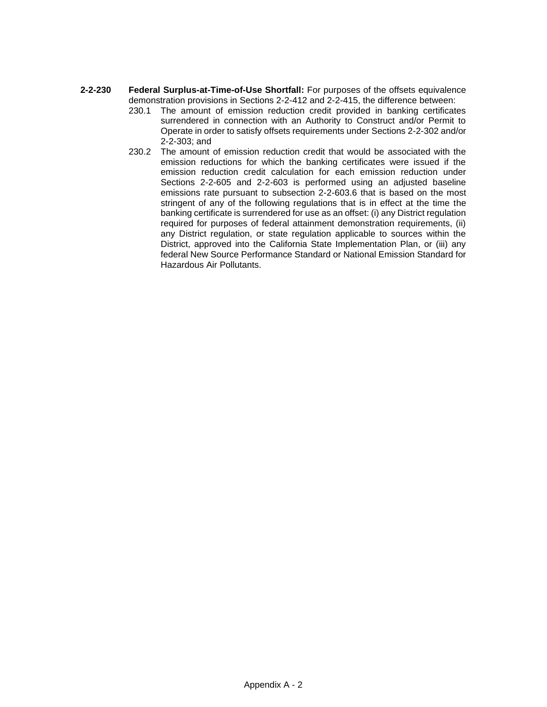- **2-2-230 Federal Surplus-at-Time-of-Use Shortfall:** For purposes of the offsets equivalence demonstration provisions in Sections 2-2-412 and 2-2-415, the difference between:
	- 230.1 The amount of emission reduction credit provided in banking certificates surrendered in connection with an Authority to Construct and/or Permit to Operate in order to satisfy offsets requirements under Sections 2-2-302 and/or 2-2-303; and
	- 230.2 The amount of emission reduction credit that would be associated with the emission reductions for which the banking certificates were issued if the emission reduction credit calculation for each emission reduction under Sections 2-2-605 and 2-2-603 is performed using an adjusted baseline emissions rate pursuant to subsection 2-2-603.6 that is based on the most stringent of any of the following regulations that is in effect at the time the banking certificate is surrendered for use as an offset: (i) any District regulation required for purposes of federal attainment demonstration requirements, (ii) any District regulation, or state regulation applicable to sources within the District, approved into the California State Implementation Plan, or (iii) any federal New Source Performance Standard or National Emission Standard for Hazardous Air Pollutants.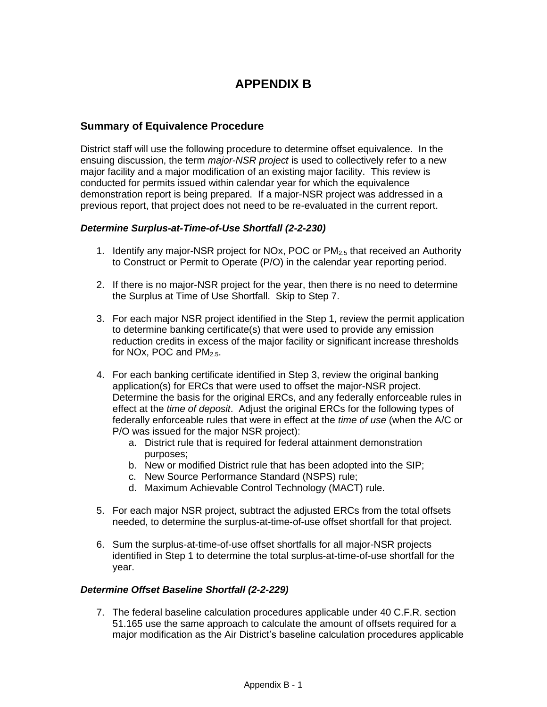# **APPENDIX B**

#### **Summary of Equivalence Procedure**

District staff will use the following procedure to determine offset equivalence. In the ensuing discussion, the term *major-NSR project* is used to collectively refer to a new major facility and a major modification of an existing major facility. This review is conducted for permits issued within calendar year for which the equivalence demonstration report is being prepared. If a major-NSR project was addressed in a previous report, that project does not need to be re-evaluated in the current report.

#### *Determine Surplus-at-Time-of-Use Shortfall (2-2-230)*

- 1. Identify any major-NSR project for NOx, POC or  $PM_{2.5}$  that received an Authority to Construct or Permit to Operate (P/O) in the calendar year reporting period.
- 2. If there is no major-NSR project for the year, then there is no need to determine the Surplus at Time of Use Shortfall. Skip to Step 7.
- 3. For each major NSR project identified in the Step 1, review the permit application to determine banking certificate(s) that were used to provide any emission reduction credits in excess of the major facility or significant increase thresholds for NOx, POC and PM<sub>2.5</sub>.
- 4. For each banking certificate identified in Step 3, review the original banking application(s) for ERCs that were used to offset the major-NSR project. Determine the basis for the original ERCs, and any federally enforceable rules in effect at the *time of deposit*. Adjust the original ERCs for the following types of federally enforceable rules that were in effect at the *time of use* (when the A/C or P/O was issued for the major NSR project):
	- a. District rule that is required for federal attainment demonstration purposes;
	- b. New or modified District rule that has been adopted into the SIP;
	- c. New Source Performance Standard (NSPS) rule;
	- d. Maximum Achievable Control Technology (MACT) rule.
- 5. For each major NSR project, subtract the adjusted ERCs from the total offsets needed, to determine the surplus-at-time-of-use offset shortfall for that project.
- 6. Sum the surplus-at-time-of-use offset shortfalls for all major-NSR projects identified in Step 1 to determine the total surplus-at-time-of-use shortfall for the year.

#### *Determine Offset Baseline Shortfall (2-2-229)*

7. The federal baseline calculation procedures applicable under 40 C.F.R. section 51.165 use the same approach to calculate the amount of offsets required for a major modification as the Air District's baseline calculation procedures applicable